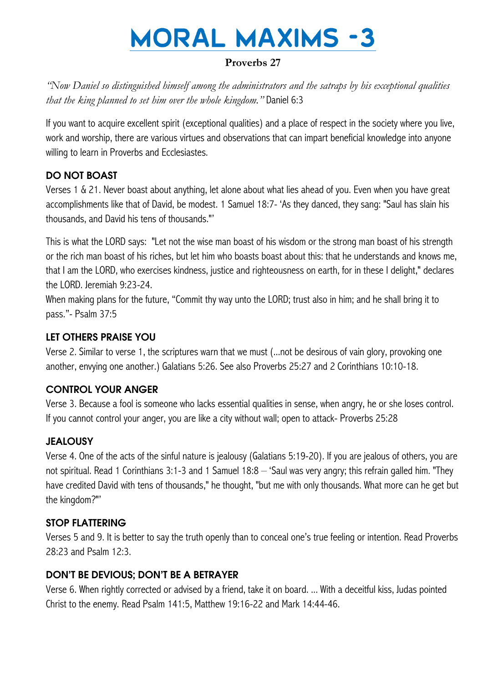# **MORAL MAXIMS -3**

# **Proverbs 27**

*"Now Daniel so distinguished himself among the administrators and the satraps by his exceptional qualities that the king planned to set him over the whole kingdom."* Daniel 6:3

If you want to acquire excellent spirit (exceptional qualities) and a place of respect in the society where you live, work and worship, there are various virtues and observations that can impart beneficial knowledge into anyone willing to learn in Proverbs and Ecclesiastes.

## DO NOT BOAST

Verses 1 & 21. Never boast about anything, let alone about what lies ahead of you. Even when you have great accomplishments like that of David, be modest. 1 Samuel 18:7- "As they danced, they sang: "Saul has slain his thousands, and David his tens of thousands.""

This is what the LORD says: "Let not the wise man boast of his wisdom or the strong man boast of his strength or the rich man boast of his riches, but let him who boasts boast about this: that he understands and knows me, that I am the LORD, who exercises kindness, justice and righteousness on earth, for in these I delight," declares the LORD. Jeremiah 9:23-24.

When making plans for the future, "Commit thy way unto the LORD; trust also in him; and he shall bring it to pass."- Psalm 37:5

## LET OTHERS PRAISE YOU

Verse 2. Similar to verse 1, the scriptures warn that we must (...not be desirous of vain glory, provoking one another, envying one another.) Galatians 5:26. See also Proverbs 25:27 and 2 Corinthians 10:10-18.

## CONTROL YOUR ANGER

Verse 3. Because a fool is someone who lacks essential qualities in sense, when angry, he or she loses control. If you cannot control your anger, you are like a city without wall; open to attack- Proverbs 25:28

## **JEALOUSY**

Verse 4. One of the acts of the sinful nature is jealousy (Galatians 5:19-20). If you are jealous of others, you are not spiritual. Read 1 Corinthians 3:1-3 and 1 Samuel 18:8 – "Saul was very angry; this refrain galled him. "They have credited David with tens of thousands," he thought, "but me with only thousands. What more can he get but the kingdom?""

## STOP FLATTERING

Verses 5 and 9. It is better to say the truth openly than to conceal one"s true feeling or intention. Read Proverbs 28:23 and Psalm 12:3.

## DON'T BE DEVIOUS; DON'T BE A BETRAYER

Verse 6. When rightly corrected or advised by a friend, take it on board. ... With a deceitful kiss, Judas pointed Christ to the enemy. Read Psalm 141:5, Matthew 19:16-22 and Mark 14:44-46.